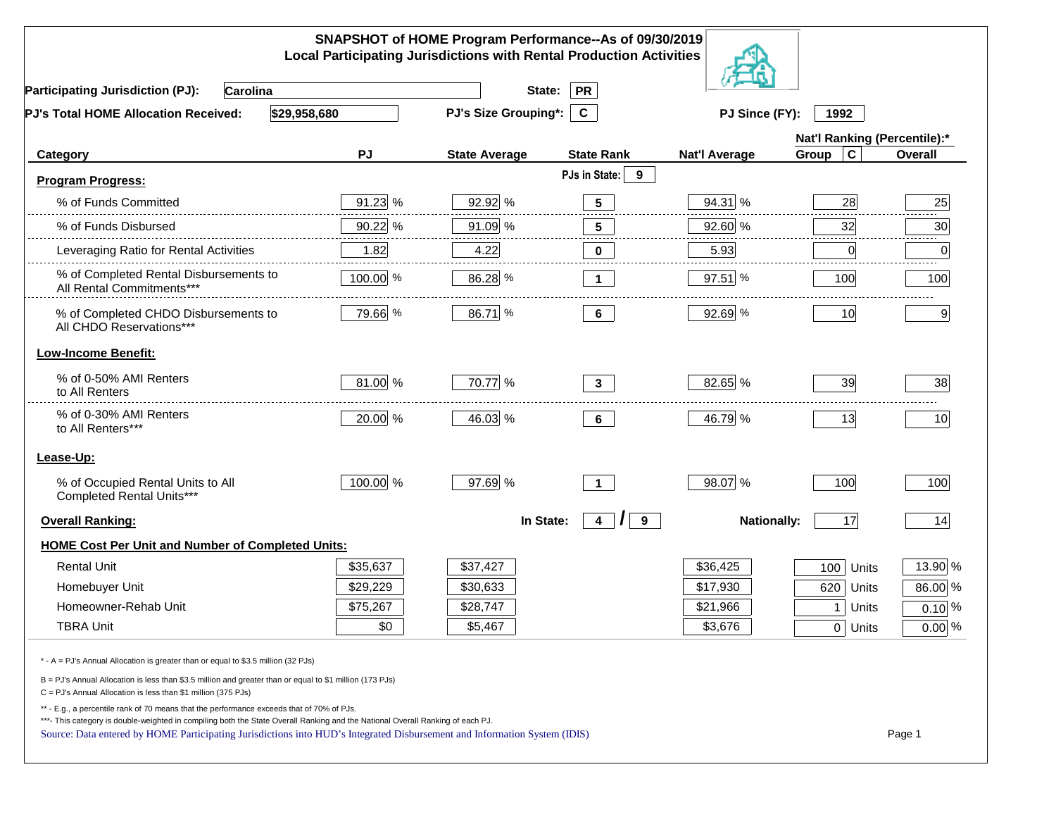|                                                                                                                                                                                                                                                                                                                                                          |          | SNAPSHOT of HOME Program Performance--As of 09/30/2019<br><b>Local Participating Jurisdictions with Rental Production Activities</b> |                                 |                      |                              |          |
|----------------------------------------------------------------------------------------------------------------------------------------------------------------------------------------------------------------------------------------------------------------------------------------------------------------------------------------------------------|----------|--------------------------------------------------------------------------------------------------------------------------------------|---------------------------------|----------------------|------------------------------|----------|
| <b>Participating Jurisdiction (PJ):</b><br>Carolina                                                                                                                                                                                                                                                                                                      |          | State:                                                                                                                               | <b>PR</b>                       |                      |                              |          |
| \$29,958,680<br>PJ's Total HOME Allocation Received:                                                                                                                                                                                                                                                                                                     |          | PJ's Size Grouping*:                                                                                                                 | $\mathbf{C}$                    | PJ Since (FY):       | 1992                         |          |
|                                                                                                                                                                                                                                                                                                                                                          |          |                                                                                                                                      |                                 |                      | Nat'l Ranking (Percentile):* |          |
| Category                                                                                                                                                                                                                                                                                                                                                 | PJ       | <b>State Average</b>                                                                                                                 | <b>State Rank</b>               | <b>Nat'l Average</b> | Group<br>C                   | Overall  |
| <b>Program Progress:</b>                                                                                                                                                                                                                                                                                                                                 |          |                                                                                                                                      | PJs in State:<br>9              |                      |                              |          |
| % of Funds Committed                                                                                                                                                                                                                                                                                                                                     | 91.23 %  | 92.92 %                                                                                                                              | $5\phantom{.0}$                 | 94.31 %              | 28                           | 25       |
| % of Funds Disbursed                                                                                                                                                                                                                                                                                                                                     | 90.22 %  | 91.09 %                                                                                                                              | $5\phantom{.0}$                 | 92.60 %              | 32                           | 30       |
| Leveraging Ratio for Rental Activities                                                                                                                                                                                                                                                                                                                   | 1.82     | 4.22                                                                                                                                 | $\mathbf 0$                     | 5.93                 | 0                            | 0        |
| % of Completed Rental Disbursements to<br>All Rental Commitments***                                                                                                                                                                                                                                                                                      | 100.00 % | 86.28 %                                                                                                                              | $\mathbf 1$                     | 97.51 %              | 100                          | 100      |
| % of Completed CHDO Disbursements to<br>All CHDO Reservations***                                                                                                                                                                                                                                                                                         | 79.66 %  | 86.71 %                                                                                                                              | $6\phantom{a}$                  | 92.69 %              | 10                           | 9        |
| <b>Low-Income Benefit:</b>                                                                                                                                                                                                                                                                                                                               |          |                                                                                                                                      |                                 |                      |                              |          |
| % of 0-50% AMI Renters<br>to All Renters                                                                                                                                                                                                                                                                                                                 | 81.00 %  | 70.77 %                                                                                                                              | $3^{\circ}$                     | 82.65 %              | 39                           | 38       |
| % of 0-30% AMI Renters<br>to All Renters***                                                                                                                                                                                                                                                                                                              | 20.00 %  | 46.03 %                                                                                                                              | 6                               | 46.79 %              | 13                           | 10       |
| Lease-Up:                                                                                                                                                                                                                                                                                                                                                |          |                                                                                                                                      |                                 |                      |                              |          |
| % of Occupied Rental Units to All<br>Completed Rental Units***                                                                                                                                                                                                                                                                                           | 100.00 % | 97.69 %                                                                                                                              | $\mathbf{1}$                    | 98.07 %              | 100                          | 100      |
| <b>Overall Ranking:</b>                                                                                                                                                                                                                                                                                                                                  |          | In State:                                                                                                                            | 9<br>$\overline{4}$<br>$\prime$ | <b>Nationally:</b>   | 17                           | 14       |
| <b>HOME Cost Per Unit and Number of Completed Units:</b>                                                                                                                                                                                                                                                                                                 |          |                                                                                                                                      |                                 |                      |                              |          |
| <b>Rental Unit</b>                                                                                                                                                                                                                                                                                                                                       | \$35,637 | \$37,427                                                                                                                             |                                 | \$36,425             | 100<br>Units                 | 13.90 %  |
| Homebuyer Unit                                                                                                                                                                                                                                                                                                                                           | \$29,229 | \$30,633                                                                                                                             |                                 | \$17,930             | 620<br>Units                 | 86.00 %  |
| Homeowner-Rehab Unit                                                                                                                                                                                                                                                                                                                                     | \$75,267 | \$28,747                                                                                                                             |                                 | \$21,966             | 1<br>Units                   | $0.10\%$ |
| <b>TBRA Unit</b>                                                                                                                                                                                                                                                                                                                                         | \$0      | \$5,467                                                                                                                              |                                 | \$3,676              | 0 Units                      | $0.00\%$ |
| * - A = PJ's Annual Allocation is greater than or equal to \$3.5 million (32 PJs)                                                                                                                                                                                                                                                                        |          |                                                                                                                                      |                                 |                      |                              |          |
| B = PJ's Annual Allocation is less than \$3.5 million and greater than or equal to \$1 million (173 PJs)<br>C = PJ's Annual Allocation is less than \$1 million (375 PJs)                                                                                                                                                                                |          |                                                                                                                                      |                                 |                      |                              |          |
| ** - E.g., a percentile rank of 70 means that the performance exceeds that of 70% of PJs.<br>***- This category is double-weighted in compiling both the State Overall Ranking and the National Overall Ranking of each PJ.<br>Source: Data entered by HOME Participating Jurisdictions into HUD's Integrated Disbursement and Information System (IDIS) |          |                                                                                                                                      |                                 |                      |                              | Page 1   |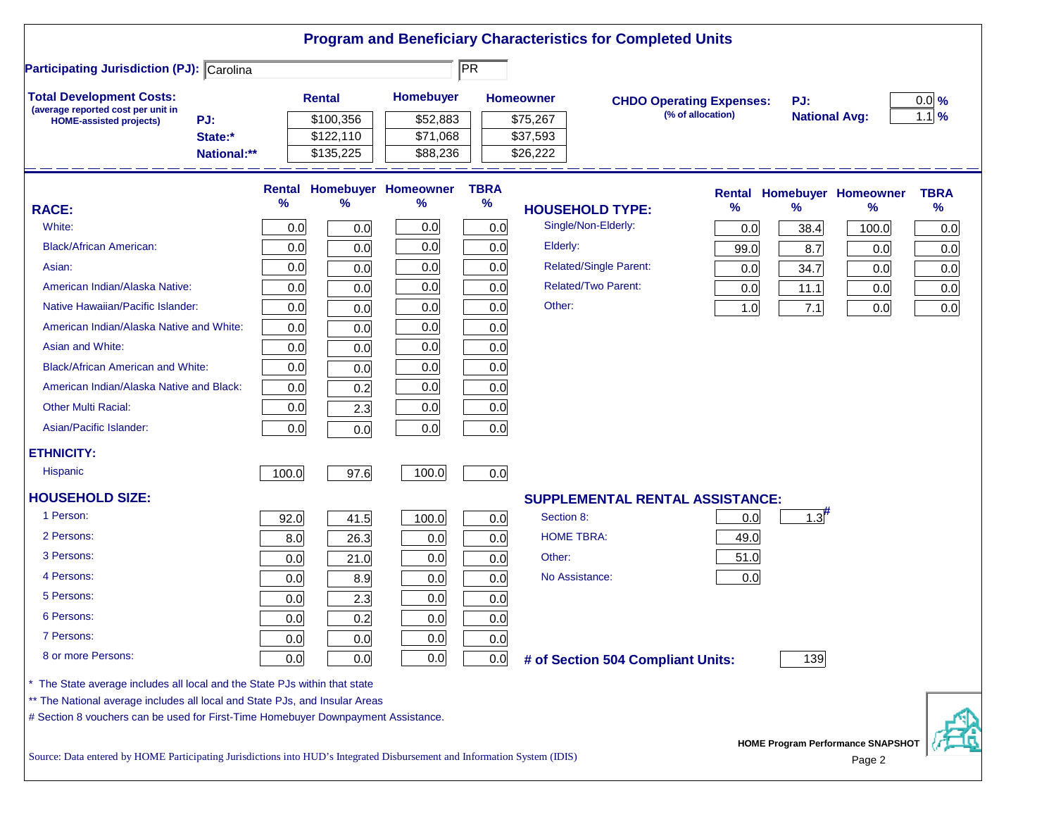|                                                                                                                           |       |               |                            |                        |                               | <b>Program and Beneficiary Characteristics for Completed Units</b> |      |                      |                                             |             |
|---------------------------------------------------------------------------------------------------------------------------|-------|---------------|----------------------------|------------------------|-------------------------------|--------------------------------------------------------------------|------|----------------------|---------------------------------------------|-------------|
| <b>Participating Jurisdiction (PJ): Carolina</b>                                                                          |       |               |                            | $\overline{\text{PR}}$ |                               |                                                                    |      |                      |                                             |             |
| <b>Total Development Costs:</b>                                                                                           |       | <b>Rental</b> | <b>Homebuyer</b>           |                        | <b>Homeowner</b>              | <b>CHDO Operating Expenses:</b>                                    |      | PJ:                  |                                             | $0.0\%$     |
| (average reported cost per unit in<br>PJ:<br><b>HOME-assisted projects)</b>                                               |       | \$100,356     | \$52,883                   |                        | \$75,267                      | (% of allocation)                                                  |      | <b>National Avg:</b> |                                             | $1.1\%$     |
| State:*                                                                                                                   |       | \$122,110     | \$71,068                   |                        | \$37,593                      |                                                                    |      |                      |                                             |             |
| National:**                                                                                                               |       | \$135,225     | \$88,236                   |                        | \$26,222                      |                                                                    |      |                      |                                             |             |
|                                                                                                                           |       |               | Rental Homebuyer Homeowner | <b>TBRA</b>            |                               |                                                                    |      |                      | <b>Rental Homebuyer Homeowner</b>           | <b>TBRA</b> |
| <b>RACE:</b>                                                                                                              | %     | %             | %                          | %                      | <b>HOUSEHOLD TYPE:</b>        |                                                                    | $\%$ | $\frac{9}{6}$        | %                                           | $\%$        |
| White:                                                                                                                    | 0.0   | 0.0           | 0.0                        | 0.0                    | Single/Non-Elderly:           |                                                                    | 0.0  | 38.4                 | 100.0                                       | 0.0         |
| <b>Black/African American:</b>                                                                                            | 0.0   | 0.0           | 0.0                        | 0.0                    | Elderly:                      |                                                                    | 99.0 | 8.7                  | 0.0                                         | 0.0         |
| Asian:                                                                                                                    | 0.0   | 0.0           | 0.0                        | 0.0                    | <b>Related/Single Parent:</b> |                                                                    | 0.0  | 34.7                 | 0.0                                         | 0.0         |
| American Indian/Alaska Native:                                                                                            | 0.0   | 0.0           | 0.0                        | 0.0                    | <b>Related/Two Parent:</b>    |                                                                    | 0.0  | 11.1                 | 0.0                                         | 0.0         |
| Native Hawaiian/Pacific Islander:                                                                                         | 0.0   | 0.0           | 0.0                        | 0.0                    | Other:                        |                                                                    | 1.0  | 7.1                  | 0.0                                         | 0.0         |
| American Indian/Alaska Native and White:                                                                                  | 0.0   | 0.0           | 0.0                        | 0.0                    |                               |                                                                    |      |                      |                                             |             |
| Asian and White:                                                                                                          | 0.0   | 0.0           | 0.0                        | 0.0                    |                               |                                                                    |      |                      |                                             |             |
| <b>Black/African American and White:</b>                                                                                  | 0.0   | 0.0           | 0.0                        | 0.0                    |                               |                                                                    |      |                      |                                             |             |
| American Indian/Alaska Native and Black:                                                                                  | 0.0   | 0.2           | 0.0                        | 0.0                    |                               |                                                                    |      |                      |                                             |             |
| <b>Other Multi Racial:</b>                                                                                                | 0.0   | 2.3           | 0.0                        | 0.0                    |                               |                                                                    |      |                      |                                             |             |
| Asian/Pacific Islander:                                                                                                   | 0.0   | 0.0           | 0.0                        | 0.0                    |                               |                                                                    |      |                      |                                             |             |
| <b>ETHNICITY:</b>                                                                                                         |       |               |                            |                        |                               |                                                                    |      |                      |                                             |             |
| <b>Hispanic</b>                                                                                                           | 100.0 | 97.6          | 100.0                      | 0.0                    |                               |                                                                    |      |                      |                                             |             |
| <b>HOUSEHOLD SIZE:</b>                                                                                                    |       |               |                            |                        |                               | <b>SUPPLEMENTAL RENTAL ASSISTANCE:</b>                             |      |                      |                                             |             |
| 1 Person:                                                                                                                 | 92.0  | 41.5          | 100.0                      | 0.0                    | Section 8:                    |                                                                    | 0.0  | $1.3$ <sup>#</sup>   |                                             |             |
| 2 Persons:                                                                                                                | 8.0   | 26.3          | 0.0                        | 0.0                    | <b>HOME TBRA:</b>             |                                                                    | 49.0 |                      |                                             |             |
| 3 Persons:                                                                                                                | 0.0   | 21.0          | 0.0                        | 0.0                    | Other:                        |                                                                    | 51.0 |                      |                                             |             |
| 4 Persons:                                                                                                                | 0.0   | 8.9           | 0.0                        | 0.0                    | No Assistance:                |                                                                    | 0.0  |                      |                                             |             |
| 5 Persons:                                                                                                                | 0.0   | 2.3           | 0.0                        | 0.0                    |                               |                                                                    |      |                      |                                             |             |
| 6 Persons:                                                                                                                | 0.0   | 0.2           | 0.0                        | 0.0                    |                               |                                                                    |      |                      |                                             |             |
| 7 Persons:                                                                                                                | 0.0   | 0.0           | 0.0                        | 0.0                    |                               |                                                                    |      |                      |                                             |             |
| 8 or more Persons:                                                                                                        | 0.0   | 0.0           | 0.0                        | 0.0                    |                               | # of Section 504 Compliant Units:                                  |      | 139                  |                                             |             |
| * The State average includes all local and the State PJs within that state                                                |       |               |                            |                        |                               |                                                                    |      |                      |                                             |             |
| ** The National average includes all local and State PJs, and Insular Areas                                               |       |               |                            |                        |                               |                                                                    |      |                      |                                             |             |
| # Section 8 vouchers can be used for First-Time Homebuyer Downpayment Assistance.                                         |       |               |                            |                        |                               |                                                                    |      |                      |                                             |             |
| Source: Data entered by HOME Participating Jurisdictions into HUD's Integrated Disbursement and Information System (IDIS) |       |               |                            |                        |                               |                                                                    |      |                      | HOME Program Performance SNAPSHOT<br>Page 2 |             |